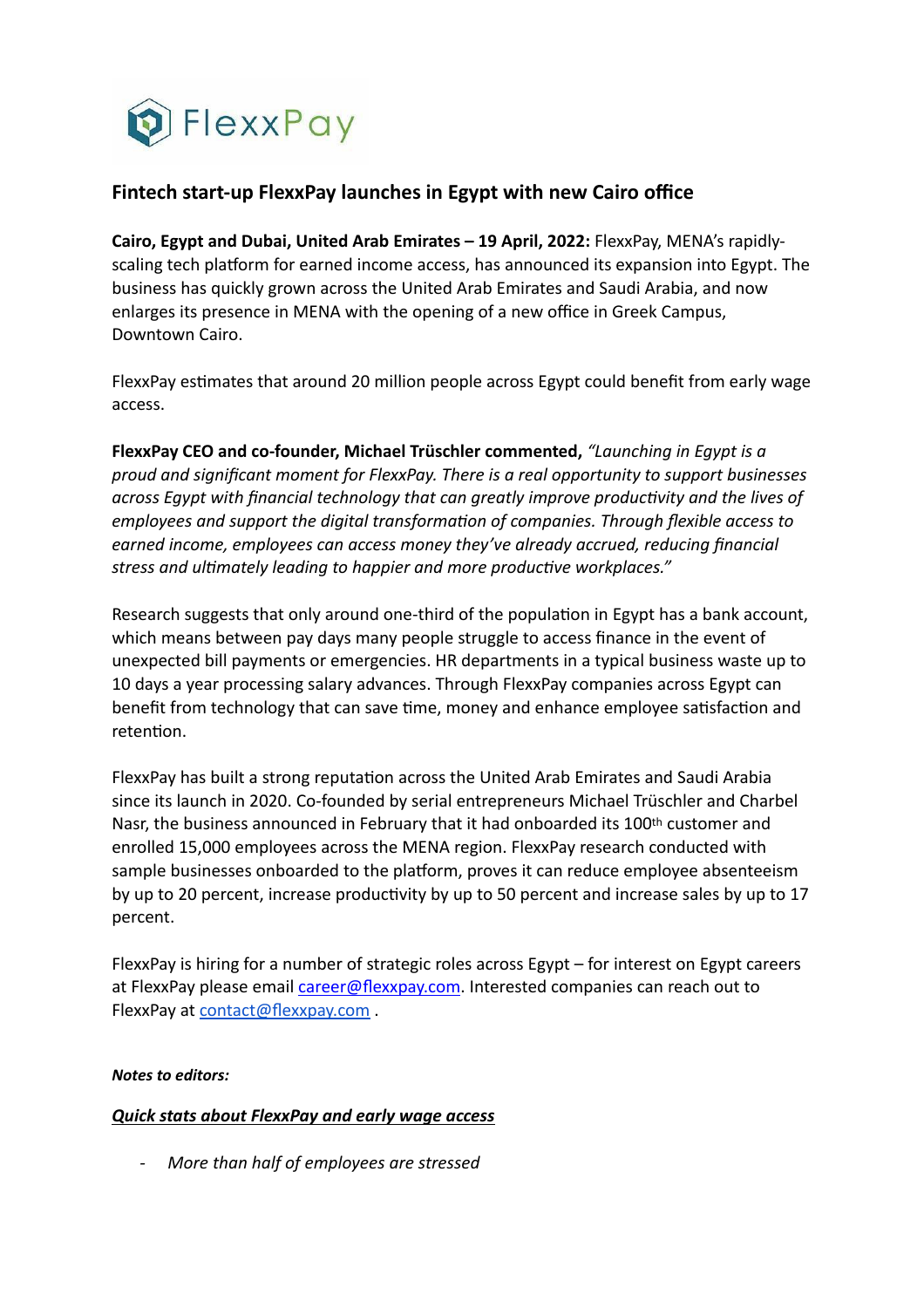

## **Fintech start-up FlexxPay launches in Egypt with new Cairo office**

**Cairo, Egypt and Dubai, United Arab Emirates – 19 April, 2022:** FlexxPay, MENA's rapidlyscaling tech platform for earned income access, has announced its expansion into Egypt. The business has quickly grown across the United Arab Emirates and Saudi Arabia, and now enlarges its presence in MENA with the opening of a new office in Greek Campus, Downtown Cairo.

FlexxPay estimates that around 20 million people across Egypt could benefit from early wage access.

**FlexxPay CEO and co-founder, Michael Trüschler commented,** *"Launching in Egypt is a proud and significant moment for FlexxPay. There is a real opportunity to support businesses across Egypt with financial technology that can greatly improve productivity and the lives of employees and support the digital transformation of companies. Through flexible access to earned income, employees can access money they've already accrued, reducing financial stress and ultimately leading to happier and more productive workplaces."*

Research suggests that only around one-third of the population in Egypt has a bank account, which means between pay days many people struggle to access finance in the event of unexpected bill payments or emergencies. HR departments in a typical business waste up to 10 days a year processing salary advances. Through FlexxPay companies across Egypt can benefit from technology that can save time, money and enhance employee satisfaction and retention.

FlexxPay has built a strong reputation across the United Arab Emirates and Saudi Arabia since its launch in 2020. Co-founded by serial entrepreneurs Michael Trüschler and Charbel Nasr, the business announced in February that it had onboarded its 100th customer and enrolled 15,000 employees across the MENA region. FlexxPay research conducted with sample businesses onboarded to the platform, proves it can reduce employee absenteeism by up to 20 percent, increase productivity by up to 50 percent and increase sales by up to 17 percent.

FlexxPay is hiring for a number of strategic roles across Egypt – for interest on Egypt careers at FlexxPay please email [career@flexxpay.com.](mailto:career@flexxpay.com) Interested companies can reach out to FlexxPay at [contact@flexxpay.com](mailto:contact@flexxpay.com) .

## *Notes to editors:*

## *Quick stats about FlexxPay and early wage access*

*- More than half of employees are stressed*